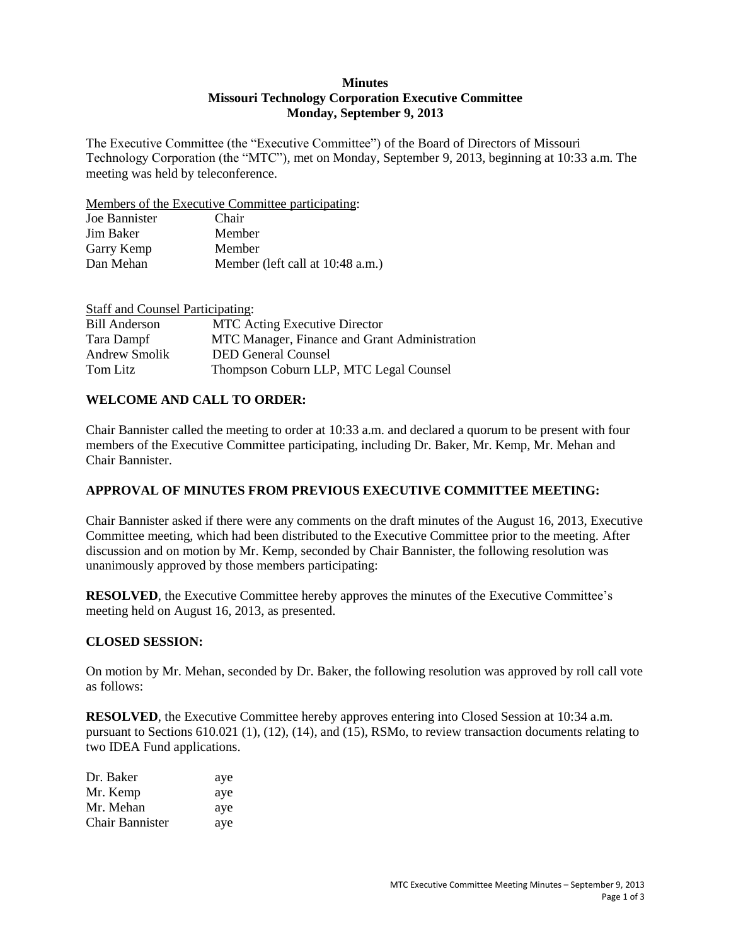### **Minutes Missouri Technology Corporation Executive Committee Monday, September 9, 2013**

The Executive Committee (the "Executive Committee") of the Board of Directors of Missouri Technology Corporation (the "MTC"), met on Monday, September 9, 2013, beginning at 10:33 a.m. The meeting was held by teleconference.

Members of the Executive Committee participating:

| Joe Bannister | Chair                            |
|---------------|----------------------------------|
| Jim Baker     | Member                           |
| Garry Kemp    | Member                           |
| Dan Mehan     | Member (left call at 10:48 a.m.) |

| <b>Staff and Counsel Participating:</b> |                                               |
|-----------------------------------------|-----------------------------------------------|
| <b>Bill Anderson</b>                    | <b>MTC</b> Acting Executive Director          |
| Tara Dampf                              | MTC Manager, Finance and Grant Administration |
| Andrew Smolik                           | <b>DED General Counsel</b>                    |
| Tom Litz                                | Thompson Coburn LLP, MTC Legal Counsel        |

## **WELCOME AND CALL TO ORDER:**

Chair Bannister called the meeting to order at 10:33 a.m. and declared a quorum to be present with four members of the Executive Committee participating, including Dr. Baker, Mr. Kemp, Mr. Mehan and Chair Bannister.

## **APPROVAL OF MINUTES FROM PREVIOUS EXECUTIVE COMMITTEE MEETING:**

Chair Bannister asked if there were any comments on the draft minutes of the August 16, 2013, Executive Committee meeting, which had been distributed to the Executive Committee prior to the meeting. After discussion and on motion by Mr. Kemp, seconded by Chair Bannister, the following resolution was unanimously approved by those members participating:

**RESOLVED**, the Executive Committee hereby approves the minutes of the Executive Committee's meeting held on August 16, 2013, as presented.

### **CLOSED SESSION:**

On motion by Mr. Mehan, seconded by Dr. Baker, the following resolution was approved by roll call vote as follows:

**RESOLVED**, the Executive Committee hereby approves entering into Closed Session at 10:34 a.m. pursuant to Sections 610.021 (1), (12), (14), and (15), RSMo, to review transaction documents relating to two IDEA Fund applications.

| Dr. Baker       | aye |
|-----------------|-----|
| Mr. Kemp        | aye |
| Mr. Mehan       | aye |
| Chair Bannister | aye |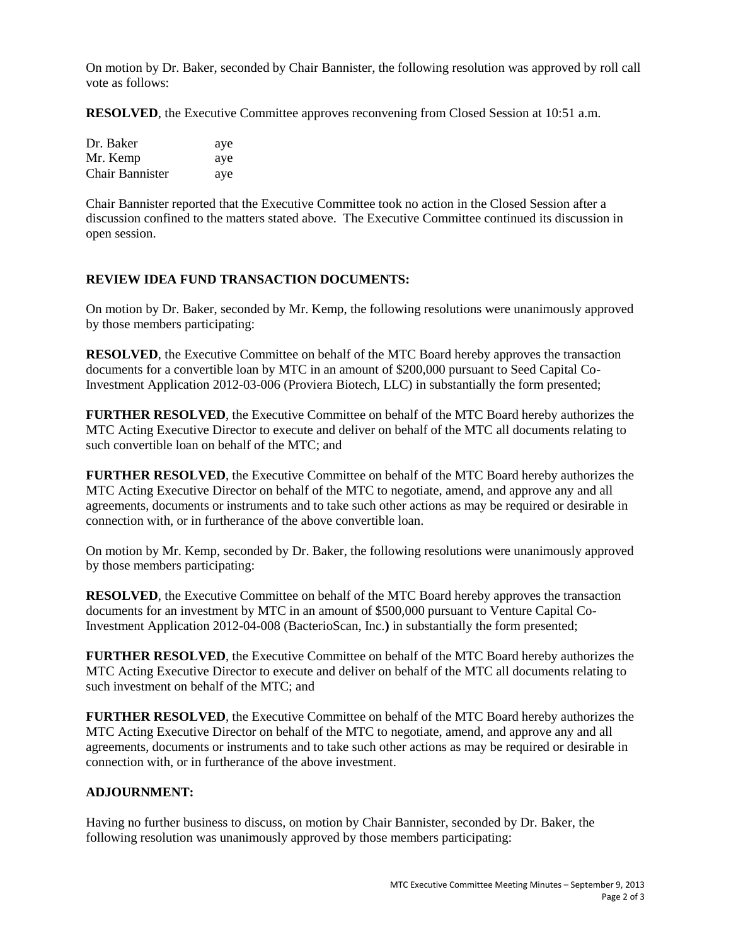On motion by Dr. Baker, seconded by Chair Bannister, the following resolution was approved by roll call vote as follows:

**RESOLVED**, the Executive Committee approves reconvening from Closed Session at 10:51 a.m.

| Dr. Baker       | aye |
|-----------------|-----|
| Mr. Kemp        | aye |
| Chair Bannister | aye |

Chair Bannister reported that the Executive Committee took no action in the Closed Session after a discussion confined to the matters stated above. The Executive Committee continued its discussion in open session.

### **REVIEW IDEA FUND TRANSACTION DOCUMENTS:**

On motion by Dr. Baker, seconded by Mr. Kemp, the following resolutions were unanimously approved by those members participating:

**RESOLVED**, the Executive Committee on behalf of the MTC Board hereby approves the transaction documents for a convertible loan by MTC in an amount of \$200,000 pursuant to Seed Capital Co-Investment Application 2012-03-006 (Proviera Biotech, LLC) in substantially the form presented;

**FURTHER RESOLVED**, the Executive Committee on behalf of the MTC Board hereby authorizes the MTC Acting Executive Director to execute and deliver on behalf of the MTC all documents relating to such convertible loan on behalf of the MTC; and

**FURTHER RESOLVED**, the Executive Committee on behalf of the MTC Board hereby authorizes the MTC Acting Executive Director on behalf of the MTC to negotiate, amend, and approve any and all agreements, documents or instruments and to take such other actions as may be required or desirable in connection with, or in furtherance of the above convertible loan.

On motion by Mr. Kemp, seconded by Dr. Baker, the following resolutions were unanimously approved by those members participating:

**RESOLVED**, the Executive Committee on behalf of the MTC Board hereby approves the transaction documents for an investment by MTC in an amount of \$500,000 pursuant to Venture Capital Co-Investment Application 2012-04-008 (BacterioScan, Inc.**)** in substantially the form presented;

**FURTHER RESOLVED**, the Executive Committee on behalf of the MTC Board hereby authorizes the MTC Acting Executive Director to execute and deliver on behalf of the MTC all documents relating to such investment on behalf of the MTC; and

**FURTHER RESOLVED**, the Executive Committee on behalf of the MTC Board hereby authorizes the MTC Acting Executive Director on behalf of the MTC to negotiate, amend, and approve any and all agreements, documents or instruments and to take such other actions as may be required or desirable in connection with, or in furtherance of the above investment.

#### **ADJOURNMENT:**

Having no further business to discuss, on motion by Chair Bannister, seconded by Dr. Baker, the following resolution was unanimously approved by those members participating: